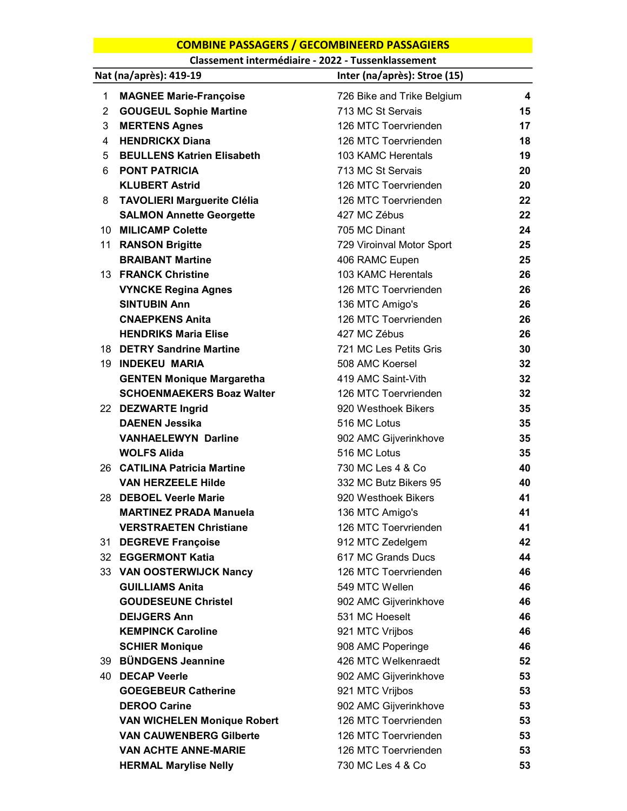## COMBINE PASSAGERS / GECOMBINEERD PASSAGIERS

Classement intermédiaire - 2022 - Tussenklassement

|                 | Nat (na/après): 419-19             | Inter (na/après): Stroe (15) |    |
|-----------------|------------------------------------|------------------------------|----|
| 1               | <b>MAGNEE Marie-Françoise</b>      | 726 Bike and Trike Belgium   | 4  |
| $\overline{2}$  | <b>GOUGEUL Sophie Martine</b>      | 713 MC St Servais            | 15 |
| 3               | <b>MERTENS Agnes</b>               | 126 MTC Toervrienden         | 17 |
| 4               | <b>HENDRICKX Diana</b>             | 126 MTC Toervrienden         | 18 |
| 5               | <b>BEULLENS Katrien Elisabeth</b>  | 103 KAMC Herentals           | 19 |
| 6               | <b>PONT PATRICIA</b>               | 713 MC St Servais            | 20 |
|                 | <b>KLUBERT Astrid</b>              | 126 MTC Toervrienden         | 20 |
| 8               | <b>TAVOLIERI Marguerite Clélia</b> | 126 MTC Toervrienden         | 22 |
|                 | <b>SALMON Annette Georgette</b>    | 427 MC Zébus                 | 22 |
| 10 <sup>1</sup> | <b>MILICAMP Colette</b>            | 705 MC Dinant                | 24 |
|                 | 11 RANSON Brigitte                 | 729 Viroinval Motor Sport    | 25 |
|                 | <b>BRAIBANT Martine</b>            | 406 RAMC Eupen               | 25 |
|                 | 13 FRANCK Christine                | 103 KAMC Herentals           | 26 |
|                 | <b>VYNCKE Regina Agnes</b>         | 126 MTC Toervrienden         | 26 |
|                 | <b>SINTUBIN Ann</b>                | 136 MTC Amigo's              | 26 |
|                 | <b>CNAEPKENS Anita</b>             | 126 MTC Toervrienden         | 26 |
|                 | <b>HENDRIKS Maria Elise</b>        | 427 MC Zébus                 | 26 |
|                 | 18 DETRY Sandrine Martine          | 721 MC Les Petits Gris       | 30 |
|                 | <b>19 INDEKEU MARIA</b>            | 508 AMC Koersel              | 32 |
|                 | <b>GENTEN Monique Margaretha</b>   | 419 AMC Saint-Vith           | 32 |
|                 | <b>SCHOENMAEKERS Boaz Walter</b>   | 126 MTC Toervrienden         | 32 |
|                 | 22 DEZWARTE Ingrid                 | 920 Westhoek Bikers          | 35 |
|                 | <b>DAENEN Jessika</b>              | 516 MC Lotus                 | 35 |
|                 | <b>VANHAELEWYN Darline</b>         | 902 AMC Gijverinkhove        | 35 |
|                 | <b>WOLFS Alida</b>                 | 516 MC Lotus                 | 35 |
|                 | 26 CATILINA Patricia Martine       | 730 MC Les 4 & Co            | 40 |
|                 | <b>VAN HERZEELE Hilde</b>          | 332 MC Butz Bikers 95        | 40 |
|                 | 28 DEBOEL Veerle Marie             | 920 Westhoek Bikers          | 41 |
|                 | <b>MARTINEZ PRADA Manuela</b>      | 136 MTC Amigo's              | 41 |
|                 | <b>VERSTRAETEN Christiane</b>      | 126 MTC Toervrienden         | 41 |
| 31              | <b>DEGREVE Françoise</b>           | 912 MTC Zedelgem             | 42 |
|                 | 32 EGGERMONT Katia                 | 617 MC Grands Ducs           | 44 |
|                 | 33 VAN OOSTERWIJCK Nancy           | 126 MTC Toervrienden         | 46 |
|                 | <b>GUILLIAMS Anita</b>             | 549 MTC Wellen               | 46 |
|                 | <b>GOUDESEUNE Christel</b>         | 902 AMC Gijverinkhove        | 46 |
|                 | <b>DEIJGERS Ann</b>                | 531 MC Hoeselt               | 46 |
|                 | <b>KEMPINCK Caroline</b>           | 921 MTC Vrijbos              | 46 |
|                 | <b>SCHIER Monique</b>              | 908 AMC Poperinge            | 46 |
|                 | 39 BÜNDGENS Jeannine               | 426 MTC Welkenraedt          | 52 |
|                 | 40 DECAP Veerle                    | 902 AMC Gijverinkhove        | 53 |
|                 | <b>GOEGEBEUR Catherine</b>         | 921 MTC Vrijbos              | 53 |
|                 | <b>DEROO Carine</b>                | 902 AMC Gijverinkhove        | 53 |
|                 | <b>VAN WICHELEN Monique Robert</b> | 126 MTC Toervrienden         | 53 |
|                 | <b>VAN CAUWENBERG Gilberte</b>     | 126 MTC Toervrienden         | 53 |
|                 | <b>VAN ACHTE ANNE-MARIE</b>        | 126 MTC Toervrienden         | 53 |
|                 | <b>HERMAL Marylise Nelly</b>       | 730 MC Les 4 & Co            | 53 |
|                 |                                    |                              |    |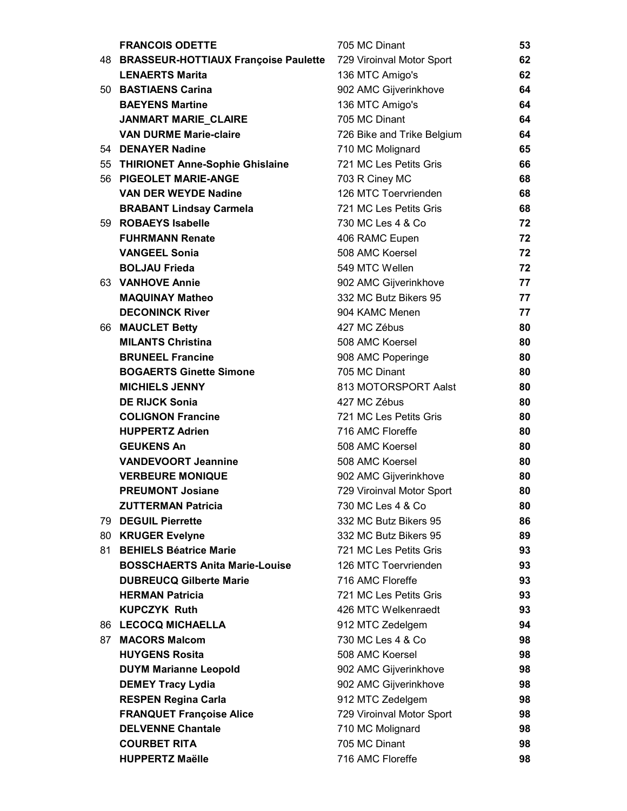|    | <b>FRANCOIS ODETTE</b>                  | 705 MC Dinant              | 53 |
|----|-----------------------------------------|----------------------------|----|
|    | 48 BRASSEUR-HOTTIAUX Françoise Paulette | 729 Viroinval Motor Sport  | 62 |
|    | <b>LENAERTS Marita</b>                  | 136 MTC Amigo's            | 62 |
|    | 50 BASTIAENS Carina                     | 902 AMC Gijverinkhove      | 64 |
|    | <b>BAEYENS Martine</b>                  | 136 MTC Amigo's            | 64 |
|    | <b>JANMART MARIE_CLAIRE</b>             | 705 MC Dinant              | 64 |
|    | <b>VAN DURME Marie-claire</b>           | 726 Bike and Trike Belgium | 64 |
|    | 54 DENAYER Nadine                       | 710 MC Molignard           | 65 |
|    | 55 THIRIONET Anne-Sophie Ghislaine      | 721 MC Les Petits Gris     | 66 |
|    | 56 PIGEOLET MARIE-ANGE                  | 703 R Ciney MC             | 68 |
|    | <b>VAN DER WEYDE Nadine</b>             | 126 MTC Toervrienden       | 68 |
|    | <b>BRABANT Lindsay Carmela</b>          | 721 MC Les Petits Gris     | 68 |
|    | 59 ROBAEYS Isabelle                     | 730 MC Les 4 & Co          | 72 |
|    | <b>FUHRMANN Renate</b>                  | 406 RAMC Eupen             | 72 |
|    | <b>VANGEEL Sonia</b>                    | 508 AMC Koersel            | 72 |
|    | <b>BOLJAU Frieda</b>                    | 549 MTC Wellen             | 72 |
|    | 63 VANHOVE Annie                        | 902 AMC Gijverinkhove      | 77 |
|    | <b>MAQUINAY Matheo</b>                  | 332 MC Butz Bikers 95      | 77 |
|    | <b>DECONINCK River</b>                  | 904 KAMC Menen             | 77 |
|    | 66 MAUCLET Betty                        | 427 MC Zébus               | 80 |
|    | <b>MILANTS Christina</b>                | 508 AMC Koersel            | 80 |
|    | <b>BRUNEEL Francine</b>                 | 908 AMC Poperinge          | 80 |
|    | <b>BOGAERTS Ginette Simone</b>          | 705 MC Dinant              | 80 |
|    | <b>MICHIELS JENNY</b>                   | 813 MOTORSPORT Aalst       | 80 |
|    | <b>DE RIJCK Sonia</b>                   | 427 MC Zébus               | 80 |
|    | <b>COLIGNON Francine</b>                | 721 MC Les Petits Gris     | 80 |
|    | <b>HUPPERTZ Adrien</b>                  | 716 AMC Floreffe           | 80 |
|    | <b>GEUKENS An</b>                       | 508 AMC Koersel            | 80 |
|    | <b>VANDEVOORT Jeannine</b>              | 508 AMC Koersel            | 80 |
|    | <b>VERBEURE MONIQUE</b>                 | 902 AMC Gijverinkhove      | 80 |
|    | <b>PREUMONT Josiane</b>                 | 729 Viroinval Motor Sport  | 80 |
|    | <b>ZUTTERMAN Patricia</b>               | 730 MC Les 4 & Co          | 80 |
| 79 | <b>DEGUIL Pierrette</b>                 | 332 MC Butz Bikers 95      | 86 |
| 80 | <b>KRUGER Evelyne</b>                   | 332 MC Butz Bikers 95      | 89 |
| 81 | <b>BEHIELS Béatrice Marie</b>           | 721 MC Les Petits Gris     | 93 |
|    | <b>BOSSCHAERTS Anita Marie-Louise</b>   | 126 MTC Toervrienden       | 93 |
|    | <b>DUBREUCQ Gilberte Marie</b>          | 716 AMC Floreffe           | 93 |
|    | <b>HERMAN Patricia</b>                  | 721 MC Les Petits Gris     | 93 |
|    | <b>KUPCZYK Ruth</b>                     | 426 MTC Welkenraedt        | 93 |
| 86 | <b>LECOCQ MICHAELLA</b>                 | 912 MTC Zedelgem           | 94 |
| 87 | <b>MACORS Malcom</b>                    | 730 MC Les 4 & Co          | 98 |
|    | <b>HUYGENS Rosita</b>                   | 508 AMC Koersel            | 98 |
|    | <b>DUYM Marianne Leopold</b>            | 902 AMC Gijverinkhove      | 98 |
|    | <b>DEMEY Tracy Lydia</b>                | 902 AMC Gijverinkhove      | 98 |
|    | <b>RESPEN Regina Carla</b>              | 912 MTC Zedelgem           | 98 |
|    | <b>FRANQUET Françoise Alice</b>         | 729 Viroinval Motor Sport  | 98 |
|    | <b>DELVENNE Chantale</b>                | 710 MC Molignard           | 98 |
|    | <b>COURBET RITA</b>                     | 705 MC Dinant              | 98 |
|    | <b>HUPPERTZ Maëlle</b>                  | 716 AMC Floreffe           | 98 |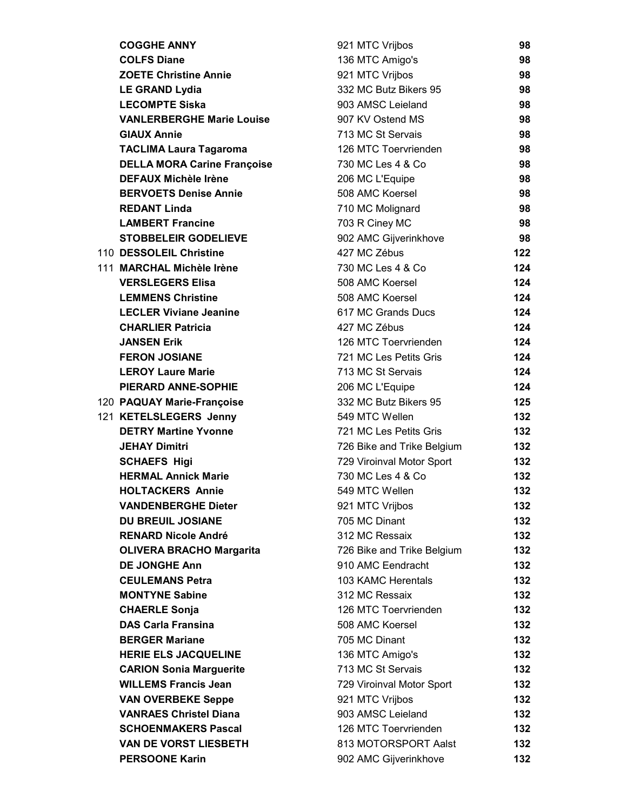| <b>COGGHE ANNY</b>                                | 921 MTC Vrijbos                                | 98               |
|---------------------------------------------------|------------------------------------------------|------------------|
| <b>COLFS Diane</b>                                | 136 MTC Amigo's                                | 98               |
| <b>ZOETE Christine Annie</b>                      | 921 MTC Vrijbos                                | 98               |
| <b>LE GRAND Lydia</b>                             | 332 MC Butz Bikers 95                          | 98               |
| <b>LECOMPTE Siska</b>                             | 903 AMSC Leieland                              | 98               |
| <b>VANLERBERGHE Marie Louise</b>                  | 907 KV Ostend MS                               | 98               |
| <b>GIAUX Annie</b>                                | 713 MC St Servais                              | 98               |
| <b>TACLIMA Laura Tagaroma</b>                     | 126 MTC Toervrienden                           | 98               |
| <b>DELLA MORA Carine Françoise</b>                | 730 MC Les 4 & Co                              | 98               |
| <b>DEFAUX Michèle Irène</b>                       | 206 MC L'Equipe                                | 98               |
| <b>BERVOETS Denise Annie</b>                      | 508 AMC Koersel                                | 98               |
| <b>REDANT Linda</b>                               | 710 MC Molignard                               | 98               |
| <b>LAMBERT Francine</b>                           | 703 R Ciney MC                                 | 98               |
| <b>STOBBELEIR GODELIEVE</b>                       | 902 AMC Gijverinkhove                          | 98               |
| 110 DESSOLEIL Christine                           | 427 MC Zébus                                   | 122              |
| 111 MARCHAL Michèle Irène                         | 730 MC Les 4 & Co                              | 124              |
| <b>VERSLEGERS Elisa</b>                           | 508 AMC Koersel                                | 124              |
| <b>LEMMENS Christine</b>                          | 508 AMC Koersel                                | 124              |
| <b>LECLER Viviane Jeanine</b>                     | 617 MC Grands Ducs                             | 124              |
| <b>CHARLIER Patricia</b>                          | 427 MC Zébus                                   | 124              |
| <b>JANSEN Erik</b>                                | 126 MTC Toervrienden                           | 124              |
| <b>FERON JOSIANE</b>                              | 721 MC Les Petits Gris                         | 124              |
| <b>LEROY Laure Marie</b>                          | 713 MC St Servais                              | 124              |
| PIERARD ANNE-SOPHIE                               | 206 MC L'Equipe                                | 124              |
| 120 PAQUAY Marie-Françoise                        | 332 MC Butz Bikers 95                          | 125              |
| 121 KETELSLEGERS Jenny                            | 549 MTC Wellen                                 | 132 <sub>2</sub> |
| <b>DETRY Martine Yvonne</b>                       | 721 MC Les Petits Gris                         | 132              |
| <b>JEHAY Dimitri</b>                              | 726 Bike and Trike Belgium                     | 132 <sub>2</sub> |
| <b>SCHAEFS Higi</b><br><b>HERMAL Annick Marie</b> | 729 Viroinval Motor Sport<br>730 MC Les 4 & Co | 132<br>132       |
| <b>HOLTACKERS Annie</b>                           | 549 MTC Wellen                                 | 132              |
| <b>VANDENBERGHE Dieter</b>                        | 921 MTC Vrijbos                                | 132              |
| <b>DU BREUIL JOSIANE</b>                          | 705 MC Dinant                                  | 132              |
| <b>RENARD Nicole André</b>                        | 312 MC Ressaix                                 | 132              |
| <b>OLIVERA BRACHO Margarita</b>                   | 726 Bike and Trike Belgium                     | 132              |
| <b>DE JONGHE Ann</b>                              | 910 AMC Eendracht                              | 132              |
| <b>CEULEMANS Petra</b>                            | 103 KAMC Herentals                             | 132              |
| <b>MONTYNE Sabine</b>                             | 312 MC Ressaix                                 | 132              |
| <b>CHAERLE Sonja</b>                              | 126 MTC Toervrienden                           | 132              |
| <b>DAS Carla Fransina</b>                         | 508 AMC Koersel                                | 132              |
| <b>BERGER Mariane</b>                             | 705 MC Dinant                                  | 132              |
| <b>HERIE ELS JACQUELINE</b>                       | 136 MTC Amigo's                                | 132              |
| <b>CARION Sonia Marguerite</b>                    | 713 MC St Servais                              | 132              |
| <b>WILLEMS Francis Jean</b>                       | 729 Viroinval Motor Sport                      | 132              |
| <b>VAN OVERBEKE Seppe</b>                         | 921 MTC Vrijbos                                | 132              |
| <b>VANRAES Christel Diana</b>                     | 903 AMSC Leieland                              | 132              |
| <b>SCHOENMAKERS Pascal</b>                        | 126 MTC Toervrienden                           | 132              |
| <b>VAN DE VORST LIESBETH</b>                      | 813 MOTORSPORT Aalst                           | 132              |
| <b>PERSOONE Karin</b>                             | 902 AMC Gijverinkhove                          | 132              |